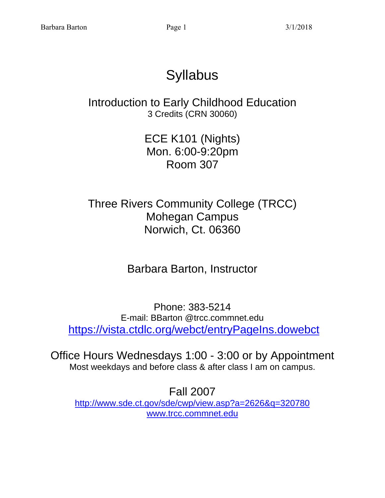# **Syllabus**

Introduction to Early Childhood Education 3 Credits (CRN 30060)

> ECE K101 (Nights) Mon. 6:00-9:20pm Room 307

Three Rivers Community College (TRCC) Mohegan Campus Norwich, Ct. 06360

Barbara Barton, Instructor

Phone: 383-5214 E-mail: BBarton @trcc.commnet.edu <https://vista.ctdlc.org/webct/entryPageIns.dowebct>

Office Hours Wednesdays 1:00 - 3:00 or by Appointment Most weekdays and before class & after class I am on campus.

Fall 2007 <http://www.sde.ct.gov/sde/cwp/view.asp?a=2626&q=320780> [www.trcc.commnet.edu](http://www.trcc.commnet.edu/)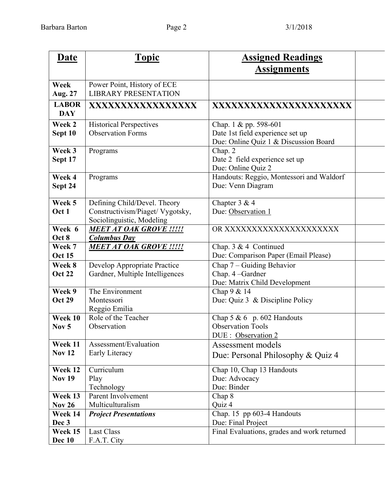| <b>Date</b>                 | <b>Topic</b>                                                                                  | <b>Assigned Readings</b>                                                                           |  |  |
|-----------------------------|-----------------------------------------------------------------------------------------------|----------------------------------------------------------------------------------------------------|--|--|
|                             |                                                                                               | <u>Assignments</u>                                                                                 |  |  |
| Week<br>Aug. 27             | Power Point, History of ECE<br><b>LIBRARY PRESENTATION</b>                                    |                                                                                                    |  |  |
| <b>LABOR</b><br><b>DAY</b>  | XXXXXXXXXXXXXXXXX                                                                             | XXXXXXXXXXXXXXXXXXXXXX                                                                             |  |  |
| Week 2<br>Sept 10           | <b>Historical Perspectives</b><br><b>Observation Forms</b>                                    | Chap. 1 & pp. 598-601<br>Date 1st field experience set up<br>Due: Online Quiz 1 & Discussion Board |  |  |
| Week 3<br>Sept 17           | Programs                                                                                      | Chap. 2<br>Date 2 field experience set up<br>Due: Online Quiz 2                                    |  |  |
| Week 4<br>Sept 24           | Programs                                                                                      | Handouts: Reggio, Montessori and Waldorf<br>Due: Venn Diagram                                      |  |  |
| Week 5<br>Oct 1             | Defining Child/Devel. Theory<br>Constructivism/Piaget/ Vygotsky,<br>Sociolinguistic, Modeling | Chapter 3 & 4<br>Due: Observation 1                                                                |  |  |
| Week 6<br>Oct 8             | <b>MEET AT OAK GROVE !!!!!</b><br><b>Columbus Day</b>                                         | OR XXXXXXXXXXXXXXXXXXXXX                                                                           |  |  |
| Week 7<br><b>Oct 15</b>     | <b>MEET AT OAK GROVE !!!!!</b>                                                                | Chap. $3 & 4$ Continued<br>Due: Comparison Paper (Email Please)                                    |  |  |
| Week 8<br><b>Oct 22</b>     | Develop Appropriate Practice<br>Gardner, Multiple Intelligences                               | Chap 7 - Guiding Behavior<br>Chap. 4 -Gardner<br>Due: Matrix Child Development                     |  |  |
| Week 9<br><b>Oct 29</b>     | The Environment<br>Montessori<br>Reggio Emilia                                                | Chap 9 & 14<br>Due: Quiz 3 & Discipline Policy                                                     |  |  |
| Week 10<br>Nov <sub>5</sub> | Role of the Teacher<br>Observation                                                            | Chap $5 & 6$ p. 602 Handouts<br><b>Observation Tools</b><br>DUE : Observation 2                    |  |  |
| Week 11<br><b>Nov 12</b>    | Assessment/Evaluation<br>Early Literacy                                                       | Assessment models<br>Due: Personal Philosophy & Quiz 4                                             |  |  |
| Week 12<br><b>Nov 19</b>    | Curriculum<br>Play<br>Technology                                                              | Chap 10, Chap 13 Handouts<br>Due: Advocacy<br>Due: Binder                                          |  |  |
| Week 13<br><b>Nov 26</b>    | Parent Involvement<br>Multiculturalism                                                        | Chap 8<br>Quiz 4                                                                                   |  |  |
| Week 14<br>Dec 3            | <b>Project Presentations</b>                                                                  | Chap. 15 pp 603-4 Handouts<br>Due: Final Project                                                   |  |  |
| Week 15<br>Dec 10           | <b>Last Class</b><br>F.A.T. City                                                              | Final Evaluations, grades and work returned                                                        |  |  |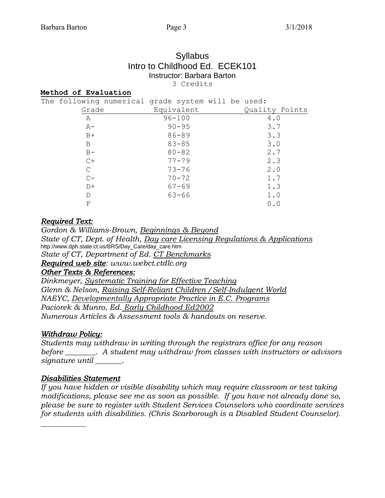#### **Syllabus** Intro to Childhood Ed. ECEK101 Instructor: Barbara Barton 3 Credits

#### **Method of Evaluation**

| The following numerical grade system will be used: |  |            |  |                |
|----------------------------------------------------|--|------------|--|----------------|
| Grade                                              |  | Equivalent |  | Quality Points |
| A                                                  |  | $96 - 100$ |  | 4.0            |
| $A-$                                               |  | $90 - 95$  |  | 3.7            |
| $B+$                                               |  | $86 - 89$  |  | 3.3            |
| B                                                  |  | $83 - 85$  |  | 3.0            |
| $B -$                                              |  | $80 - 82$  |  | 2.7            |
| $C+$                                               |  | $77 - 79$  |  | 2.3            |
| C                                                  |  | $73 - 76$  |  | 2.0            |
| $C -$                                              |  | $70 - 72$  |  | 1.7            |
| $D+$                                               |  | $67 - 69$  |  | 1.3            |
| Ð                                                  |  | $63 - 66$  |  | 1.0            |
| F                                                  |  |            |  | 0.0            |

#### *Required Text:*

*Gordon & Williams-Brown, Beginnings & Beyond State of CT, Dept. of Health, Day care Licensing Regulations & Applications* http://www.dph.state.ct.us/BRS/Day\_Care/day\_care.htm *State of CT, Department of Ed. CT Benchmarks Required web site: www.webct.ctdlc.org Other Texts & References: Dinkmeyer, Systematic Training for Effective Teaching* 

*Glenn & Nelson, Raising Self-Reliant Children /Self-Indulgent World NAEYC, Developmentally Appropriate Practice in E.C. Programs Paciorek & Munro, Ed. Early Childhood Ed2002 Numerous Articles & Assessment tools & handouts on reserve.*

#### *Withdraw Policy:*

*Students may withdraw in writing through the registrars office for any reason before \_\_\_\_\_\_\_\_. A student may withdraw from classes with instructors or advisors signature until \_\_\_\_\_\_\_.*

#### *Disabilities Statement*

*If you have hidden or visible disability which may require classroom or test taking modifications, please see me as soon as possible. If you have not already done so, please be sure to register with Student Services Counselors who coordinate services for students with disabilities. (Chris Scarborough is a Disabled Student Counselor).*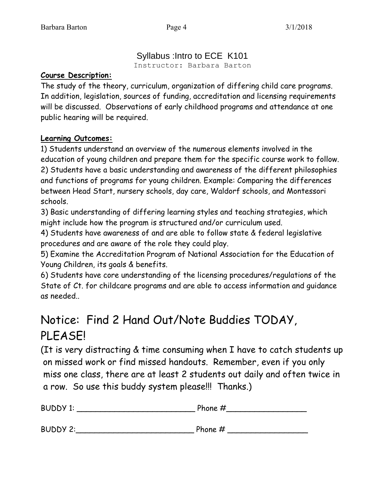### Syllabus :Intro to ECE K101

Instructor: Barbara Barton

### **Course Description:**

The study of the theory, curriculum, organization of differing child care programs. In addition, legislation, sources of funding, accreditation and licensing requirements will be discussed. Observations of early childhood programs and attendance at one public hearing will be required.

### **Learning Outcomes:**

1) Students understand an overview of the numerous elements involved in the education of young children and prepare them for the specific course work to follow. 2) Students have a basic understanding and awareness of the different philosophies and functions of programs for young children. Example: Comparing the differences between Head Start, nursery schools, day care, Waldorf schools, and Montessori schools.

3) Basic understanding of differing learning styles and teaching strategies, which might include how the program is structured and/or curriculum used.

4) Students have awareness of and are able to follow state & federal legislative procedures and are aware of the role they could play.

5) Examine the Accreditation Program of National Association for the Education of Young Children, its goals & benefits.

6) Students have core understanding of the licensing procedures/regulations of the State of Ct. for childcare programs and are able to access information and guidance as needed..

## Notice: Find 2 Hand Out/Note Buddies TODAY, PLEASE!

(It is very distracting & time consuming when I have to catch students up on missed work or find missed handouts. Remember, even if you only miss one class, there are at least 2 students out daily and often twice in a row. So use this buddy system please!!! Thanks.)

| <b>BUDDY 1:</b> | Phone $#$ |  |  |
|-----------------|-----------|--|--|
| <b>BUDDY 2:</b> | Phone $#$ |  |  |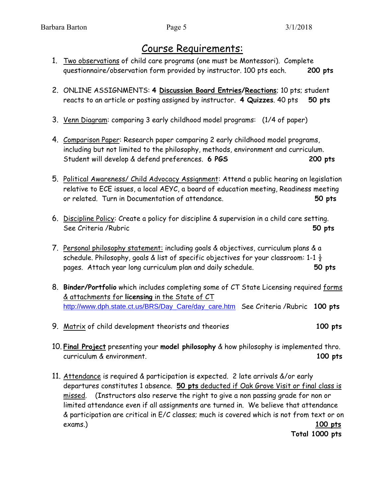### Course Requirements:

- 1. Two observations of child care programs (one must be Montessori). Complete questionnaire/observation form provided by instructor. 100 pts each. **200 pts**
- 2. ONLINE ASSIGNMENTS: **4 Discussion Board Entries/Reactions**; 10 pts; student reacts to an article or posting assigned by instructor. **4 Quizzes**. 40 pts **50 pts**
- 3. Venn Diagram: comparing 3 early childhood model programs: (1/4 of paper)
- 4. Comparison Paper: Research paper comparing 2 early childhood model programs, including but not limited to the philosophy, methods, environment and curriculum. Student will develop & defend preferences. **6 PGS 200 pts**
- 5. Political Awareness/ Child Advocacy Assignment: Attend a public hearing on legislation relative to ECE issues, a local AEYC, a board of education meeting, Readiness meeting or related. Turn in Documentation of attendance. **50 pts**
- 6. Discipline Policy: Create a policy for discipline & supervision in a child care setting. See Criteria /Rubric **50 pts**
- 7. Personal philosophy statement: including goals & objectives, curriculum plans & a schedule. Philosophy, goals & list of specific objectives for your classroom: 1-1  $\frac{1}{2}$ pages. Attach year long curriculum plan and daily schedule. **50 pts**
- 8. **Binder/Portfolio** which includes completing some of CT State Licensing required forms & attachments for **licensing** in the State of CT [http://www.dph.state.ct.us/BRS/Day\\_Care/day\\_care.htm](http://www.dph.state.ct.us/BRS/Day_Care/day_care.htm) See Criteria /Rubric **100 pts**
- 9. Matrix of child development theorists and theories **100 pts**
- 10. **Final Project** presenting your **model philosophy** & how philosophy is implemented thro. curriculum & environment. **100 pts**
- 11. Attendance is required & participation is expected. 2 late arrivals &/or early departures constitutes 1 absence. **50 pts** deducted if Oak Grove Visit or final class is missed. (Instructors also reserve the right to give a non passing grade for non or limited attendance even if all assignments are turned in. We believe that attendance & participation are critical in E/C classes; much is covered which is not from text or on exams.) **100 pts**

 **Total 1000 pts**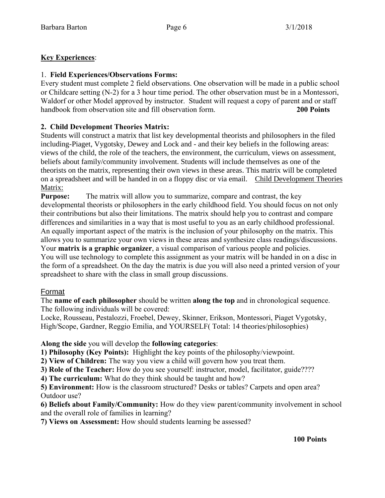#### **Key Experiences**:

#### 1. **Field Experiences/Observations Forms:**

Every student must complete 2 field observations. One observation will be made in a public school or Childcare setting (N-2) for a 3 hour time period. The other observation must be in a Montessori, Waldorf or other Model approved by instructor. Student will request a copy of parent and or staff handbook from observation site and fill observation form. **200 Points**

#### **2. Child Development Theories Matrix:**

Students will construct a matrix that list key developmental theorists and philosophers in the filed including-Piaget, Vygotsky, Dewey and Lock and - and their key beliefs in the following areas: views of the child, the role of the teachers, the environment, the curriculum, views on assessment, beliefs about family/community involvement. Students will include themselves as one of the theorists on the matrix, representing their own views in these areas. This matrix will be completed on a spreadsheet and will be handed in on a floppy disc or via email. Child Development Theories Matrix:

**Purpose:** The matrix will allow you to summarize, compare and contrast, the key developmental theorists or philosophers in the early childhood field. You should focus on not only their contributions but also their limitations. The matrix should help you to contrast and compare differences and similarities in a way that is most useful to you as an early childhood professional. An equally important aspect of the matrix is the inclusion of your philosophy on the matrix. This allows you to summarize your own views in these areas and synthesize class readings/discussions. Your **matrix is a graphic organizer**, a visual comparison of various people and policies.

You will use technology to complete this assignment as your matrix will be handed in on a disc in the form of a spreadsheet. On the day the matrix is due you will also need a printed version of your spreadsheet to share with the class in small group discussions.

#### Format

The **name of each philosopher** should be written **along the top** and in chronological sequence. The following individuals will be covered:

Locke, Rousseau, Pestalozzi, Froebel, Dewey, Skinner, Erikson, Montessori, Piaget Vygotsky, High/Scope, Gardner, Reggio Emilia, and YOURSELF( Total: 14 theories/philosophies)

#### **Along the side** you will develop the **following categories**:

**1) Philosophy (Key Points):** Highlight the key points of the philosophy/viewpoint.

**2) View of Children:** The way you view a child will govern how you treat them.

**3) Role of the Teacher:** How do you see yourself: instructor, model, facilitator, guide????

**4) The curriculum:** What do they think should be taught and how?

**5) Environment:** How is the classroom structured? Desks or tables? Carpets and open area? Outdoor use?

**6) Beliefs about Family/Community:** How do they view parent/community involvement in school and the overall role of families in learning?

**7) Views on Assessment:** How should students learning be assessed?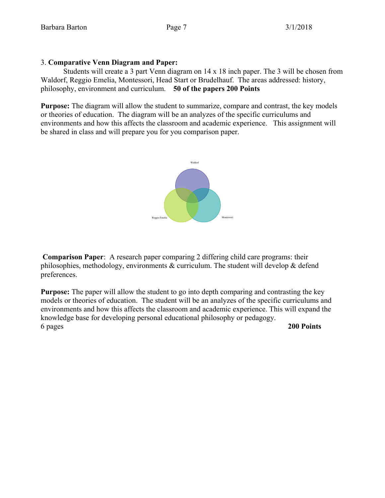#### 3. **Comparative Venn Diagram and Paper:**

Students will create a 3 part Venn diagram on 14 x 18 inch paper. The 3 will be chosen from Waldorf, Reggio Emelia, Montessori, Head Start or Brudelhauf. The areas addressed: history, philosophy, environment and curriculum. **50 of the papers 200 Points**

**Purpose:** The diagram will allow the student to summarize, compare and contrast, the key models or theories of education. The diagram will be an analyzes of the specific curriculums and environments and how this affects the classroom and academic experience. This assignment will be shared in class and will prepare you for you comparison paper.



**Comparison Paper**: A research paper comparing 2 differing child care programs: their philosophies, methodology, environments  $\&$  curriculum. The student will develop  $\&$  defend preferences.

**Purpose:** The paper will allow the student to go into depth comparing and contrasting the key models or theories of education. The student will be an analyzes of the specific curriculums and environments and how this affects the classroom and academic experience. This will expand the knowledge base for developing personal educational philosophy or pedagogy. 6 pages **200 Points**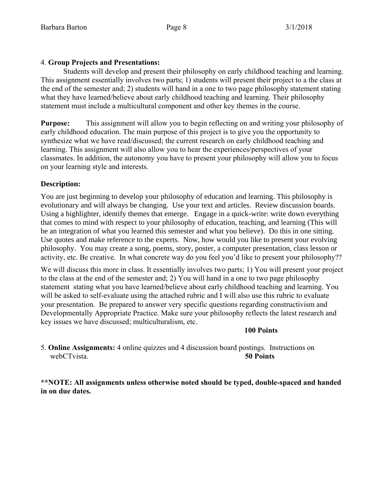#### 4. **Group Projects and Presentations:**

Students will develop and present their philosophy on early childhood teaching and learning. This assignment essentially involves two parts; 1) students will present their project to a the class at the end of the semester and; 2) students will hand in a one to two page philosophy statement stating what they have learned/believe about early childhood teaching and learning. Their philosophy statement must include a multicultural component and other key themes in the course.

**Purpose:** This assignment will allow you to begin reflecting on and writing your philosophy of early childhood education. The main purpose of this project is to give you the opportunity to synthesize what we have read/discussed; the current research on early childhood teaching and learning. This assignment will also allow you to hear the experiences/perspectives of your classmates. In addition, the autonomy you have to present your philosophy will allow you to focus on your learning style and interests.

#### **Description:**

You are just beginning to develop your philosophy of education and learning. This philosophy is evolutionary and will always be changing. Use your text and articles. Review discussion boards. Using a highlighter, identify themes that emerge. Engage in a quick-write: write down everything that comes to mind with respect to your philosophy of education, teaching, and learning (This will be an integration of what you learned this semester and what you believe). Do this in one sitting. Use quotes and make reference to the experts. Now, how would you like to present your evolving philosophy. You may create a song, poems, story, poster, a computer presentation, class lesson or activity, etc. Be creative. In what concrete way do you feel you'd like to present your philosophy??

We will discuss this more in class. It essentially involves two parts; 1) You will present your project to the class at the end of the semester and; 2) You will hand in a one to two page philosophy statement stating what you have learned/believe about early childhood teaching and learning. You will be asked to self-evaluate using the attached rubric and I will also use this rubric to evaluate your presentation. Be prepared to answer very specific questions regarding constructivism and Developmentally Appropriate Practice. Make sure your philosophy reflects the latest research and key issues we have discussed; multiculturalism, etc.

#### **100 Points**

5. **Online Assignments:** 4 online quizzes and 4 discussion board postings. Instructions on webCTvista. **50 Points**

**\*\*NOTE: All assignments unless otherwise noted should be typed, double-spaced and handed in on due dates.**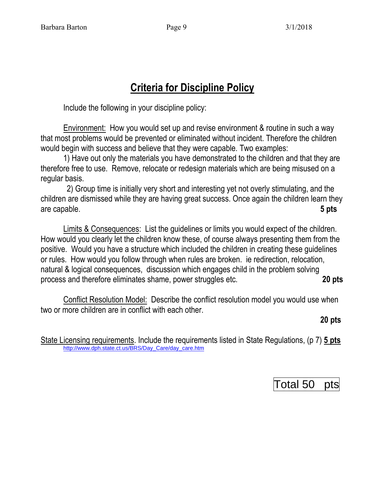## **Criteria for Discipline Policy**

Include the following in your discipline policy:

Environment: How you would set up and revise environment & routine in such a way that most problems would be prevented or eliminated without incident. Therefore the children would begin with success and believe that they were capable. Two examples:

1) Have out only the materials you have demonstrated to the children and that they are therefore free to use. Remove, relocate or redesign materials which are being misused on a regular basis.

 2) Group time is initially very short and interesting yet not overly stimulating, and the children are dismissed while they are having great success. Once again the children learn they are capable. **5 pts**

Limits & Consequences: List the guidelines or limits you would expect of the children. How would you clearly let the children know these, of course always presenting them from the positive. Would you have a structure which included the children in creating these guidelines or rules. How would you follow through when rules are broken. ie redirection, relocation, natural & logical consequences, discussion which engages child in the problem solving process and therefore eliminates shame, power struggles etc. **20 pts**

Conflict Resolution Model: Describe the conflict resolution model you would use when two or more children are in conflict with each other.

**20 pts**

State Licensing requirements. Include the requirements listed in State Regulations, (p 7) **5 pts** [http://www.dph.state.ct.us/BRS/Day\\_Care/day\\_care.htm](http://www.dph.state.ct.us/BRS/Day_Care/day_care.htm)

| Total 50 pts |  |
|--------------|--|
|              |  |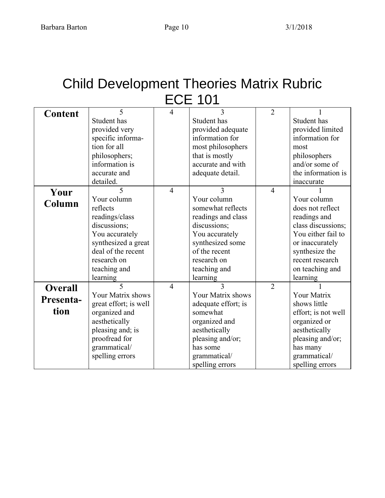# Child Development Theories Matrix Rubric ECE 101

| <b>Content</b> | 5                        | $\overline{4}$ | 3                   | $\overline{2}$ |                     |  |
|----------------|--------------------------|----------------|---------------------|----------------|---------------------|--|
|                | Student has              |                | Student has         |                | Student has         |  |
|                | provided very            |                | provided adequate   |                | provided limited    |  |
|                | specific informa-        |                | information for     |                | information for     |  |
|                | tion for all             |                | most philosophers   |                | most                |  |
|                | philosophers;            |                | that is mostly      |                | philosophers        |  |
|                | information is           |                | accurate and with   |                | and/or some of      |  |
|                | accurate and             |                | adequate detail.    |                | the information is  |  |
|                | detailed.                |                |                     |                | inaccurate          |  |
| Your           | $\overline{5}$           | $\overline{4}$ | 3                   | $\overline{4}$ |                     |  |
| Column         | Your column              |                | Your column         |                | Your column         |  |
|                | reflects                 |                | somewhat reflects   |                | does not reflect    |  |
|                | readings/class           |                | readings and class  |                | readings and        |  |
|                | discussions;             |                | discussions;        |                | class discussions;  |  |
|                | You accurately           |                | You accurately      |                | You either fail to  |  |
|                | synthesized a great      |                | synthesized some    |                | or inaccurately     |  |
|                | deal of the recent       |                | of the recent       |                | synthesize the      |  |
|                | research on              |                | research on         |                | recent research     |  |
|                | teaching and             |                | teaching and        |                | on teaching and     |  |
|                | learning                 |                | learning            |                | learning            |  |
| <b>Overall</b> | $\overline{\mathcal{L}}$ | $\overline{4}$ | $\mathbf{3}$        | $\overline{2}$ |                     |  |
| Presenta-      | Your Matrix shows        |                | Your Matrix shows   |                | <b>Your Matrix</b>  |  |
|                | great effort; is well    |                | adequate effort; is |                | shows little        |  |
| tion           | organized and            |                | somewhat            |                | effort; is not well |  |
|                | aesthetically            |                | organized and       |                | organized or        |  |
|                | pleasing and; is         |                | aesthetically       |                | aesthetically       |  |
|                | proofread for            |                | pleasing and/or;    |                | pleasing and/or;    |  |
|                | grammatical/             |                | has some            |                | has many            |  |
|                | spelling errors          |                | grammatical/        |                | grammatical/        |  |
|                |                          |                | spelling errors     |                | spelling errors     |  |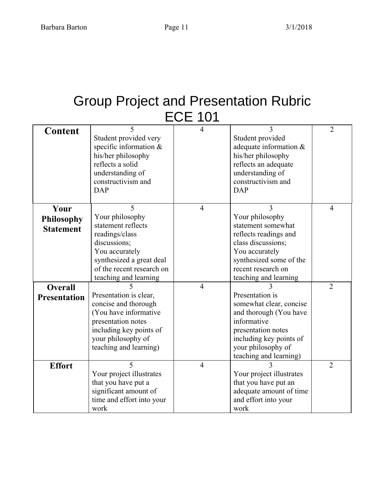# Group Project and Presentation Rubric ECE 101

| <b>Content</b>      | 5<br>Student provided very | $\overline{4}$ | 3<br>Student provided    | $\overline{2}$ |
|---------------------|----------------------------|----------------|--------------------------|----------------|
|                     | specific information $&$   |                | adequate information &   |                |
|                     | his/her philosophy         |                | his/her philosophy       |                |
|                     | reflects a solid           |                | reflects an adequate     |                |
|                     | understanding of           |                | understanding of         |                |
|                     | constructivism and         |                | constructivism and       |                |
|                     | <b>DAP</b>                 |                | <b>DAP</b>               |                |
|                     |                            |                |                          |                |
| Your                | 5                          | $\overline{4}$ | 3                        | $\overline{4}$ |
| <b>Philosophy</b>   | Your philosophy            |                | Your philosophy          |                |
| <b>Statement</b>    | statement reflects         |                | statement somewhat       |                |
|                     | readings/class             |                | reflects readings and    |                |
|                     | discussions;               |                | class discussions;       |                |
|                     | You accurately             |                | You accurately           |                |
|                     | synthesized a great deal   |                | synthesized some of the  |                |
|                     | of the recent research on  |                | recent research on       |                |
|                     | teaching and learning      |                | teaching and learning    |                |
| <b>Overall</b>      |                            | $\overline{4}$ |                          | $\overline{2}$ |
| <b>Presentation</b> | Presentation is clear,     |                | Presentation is          |                |
|                     | concise and thorough       |                | somewhat clear, concise  |                |
|                     | (You have informative      |                | and thorough (You have   |                |
|                     | presentation notes         |                | informative              |                |
|                     | including key points of    |                | presentation notes       |                |
|                     | your philosophy of         |                | including key points of  |                |
|                     | teaching and learning)     |                | your philosophy of       |                |
|                     |                            |                | teaching and learning)   |                |
| <b>Effort</b>       | 5                          | $\overline{4}$ |                          | 2              |
|                     | Your project illustrates   |                | Your project illustrates |                |
|                     | that you have put a        |                | that you have put an     |                |
|                     | significant amount of      |                | adequate amount of time  |                |
|                     | time and effort into your  |                | and effort into your     |                |
|                     | work                       |                | work                     |                |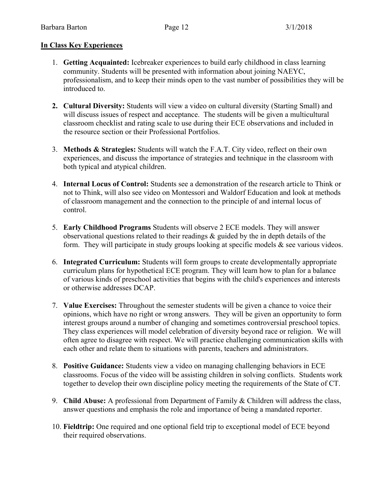#### **In Class Key Experiences**

- 1. **Getting Acquainted:** Icebreaker experiences to build early childhood in class learning community. Students will be presented with information about joining NAEYC, professionalism, and to keep their minds open to the vast number of possibilities they will be introduced to.
- **2. Cultural Diversity:** Students will view a video on cultural diversity (Starting Small) and will discuss issues of respect and acceptance. The students will be given a multicultural classroom checklist and rating scale to use during their ECE observations and included in the resource section or their Professional Portfolios.
- 3. **Methods & Strategies:** Students will watch the F.A.T. City video, reflect on their own experiences, and discuss the importance of strategies and technique in the classroom with both typical and atypical children.
- 4. **Internal Locus of Control:** Students see a demonstration of the research article to Think or not to Think, will also see video on Montessori and Waldorf Education and look at methods of classroom management and the connection to the principle of and internal locus of control.
- 5. **Early Childhood Programs** Students will observe 2 ECE models. They will answer observational questions related to their readings & guided by the in depth details of the form. They will participate in study groups looking at specific models & see various videos.
- 6. **Integrated Curriculum:** Students will form groups to create developmentally appropriate curriculum plans for hypothetical ECE program. They will learn how to plan for a balance of various kinds of preschool activities that begins with the child's experiences and interests or otherwise addresses DCAP.
- 7. **Value Exercises:** Throughout the semester students will be given a chance to voice their opinions, which have no right or wrong answers. They will be given an opportunity to form interest groups around a number of changing and sometimes controversial preschool topics. They class experiences will model celebration of diversity beyond race or religion. We will often agree to disagree with respect. We will practice challenging communication skills with each other and relate them to situations with parents, teachers and administrators.
- 8. **Positive Guidance:** Students view a video on managing challenging behaviors in ECE classrooms. Focus of the video will be assisting children in solving conflicts. Students work together to develop their own discipline policy meeting the requirements of the State of CT.
- 9. **Child Abuse:** A professional from Department of Family & Children will address the class, answer questions and emphasis the role and importance of being a mandated reporter.
- 10. **Fieldtrip:** One required and one optional field trip to exceptional model of ECE beyond their required observations.